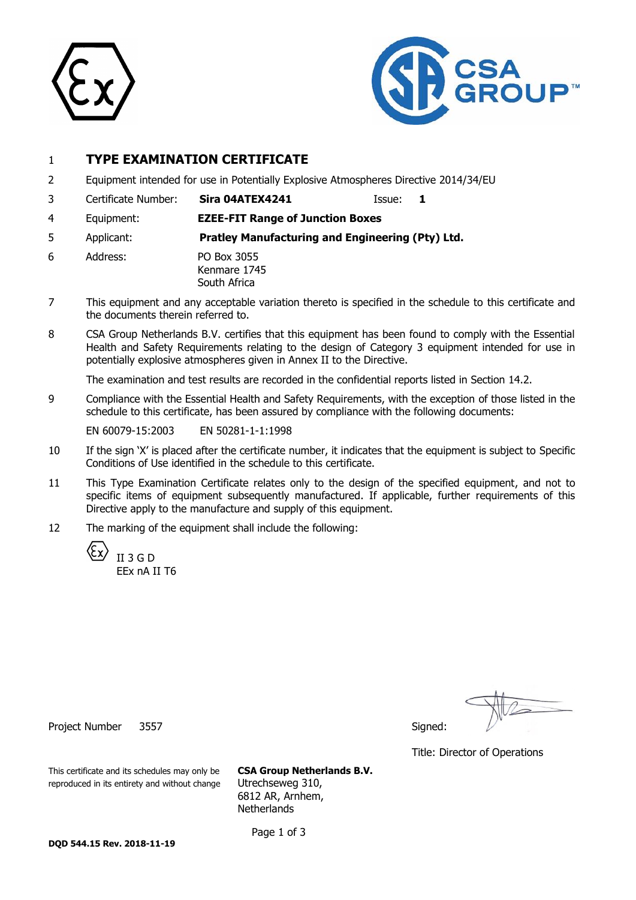



### 1 **TYPE EXAMINATION CERTIFICATE**

- 2 Equipment intended for use in Potentially Explosive Atmospheres Directive 2014/34/EU
- 3 Certificate Number: **Sira 04ATEX4241** Issue: **1**

- 4 Equipment: **EZEE-FIT Range of Junction Boxes**
- 5 Applicant: **Pratley Manufacturing and Engineering (Pty) Ltd.**
- 6 Address: PO Box 3055 Kenmare 1745 South Africa
- 7 This equipment and any acceptable variation thereto is specified in the schedule to this certificate and the documents therein referred to.
- 8 CSA Group Netherlands B.V. certifies that this equipment has been found to comply with the Essential Health and Safety Requirements relating to the design of Category 3 equipment intended for use in potentially explosive atmospheres given in Annex II to the Directive.

The examination and test results are recorded in the confidential reports listed in Section 14.2.

9 Compliance with the Essential Health and Safety Requirements, with the exception of those listed in the schedule to this certificate, has been assured by compliance with the following documents:

EN 60079-15:2003 EN 50281-1-1:1998

- 10 If the sign 'X' is placed after the certificate number, it indicates that the equipment is subject to Specific Conditions of Use identified in the schedule to this certificate.
- 11 This Type Examination Certificate relates only to the design of the specified equipment, and not to specific items of equipment subsequently manufactured. If applicable, further requirements of this Directive apply to the manufacture and supply of this equipment.
- 12 The marking of the equipment shall include the following:



Title: Director of Operations

Project Number 3557 Signed: Signed: Signed: Signed: Signed: Signed: Signed: Signed: Signed: Signed: Signed: Signed: Signed: Signed: Signed: Signed: Signed: Signed: Signed: Signed: Signed: Signed: Signed: Signed: Signed: Si

This certificate and its schedules may only be **CSA Group Netherlands B.V.** reproduced in its entirety and without change Utrechseweg 310,

6812 AR, Arnhem, **Netherlands** 

Page 1 of 3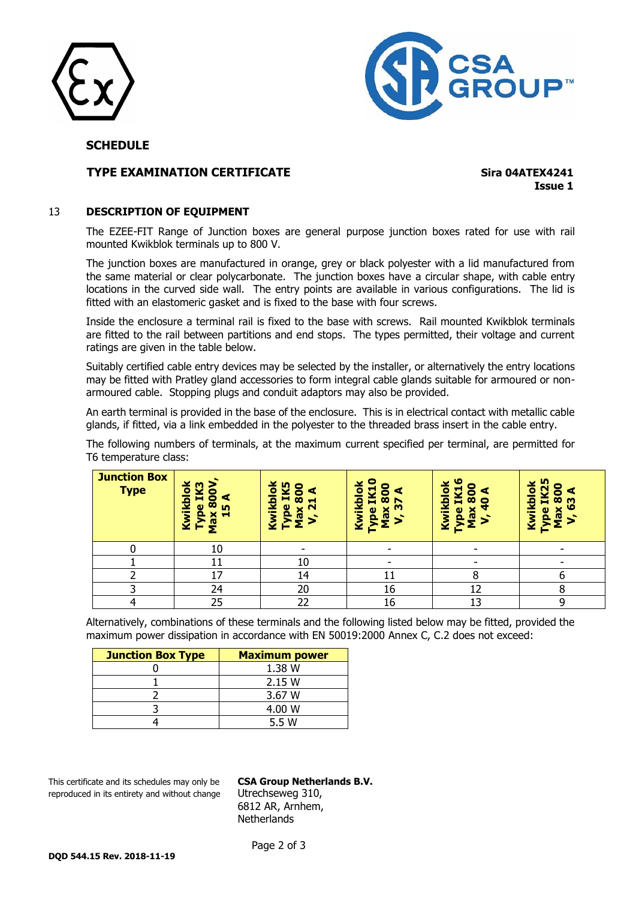



#### **SCHEDULE**

#### **TYPE EXAMINATION CERTIFICATE Sing 04ATEX4241**

**Issue 1**

#### 13 **DESCRIPTION OF EQUIPMENT**

The EZEE-FIT Range of Junction boxes are general purpose junction boxes rated for use with rail mounted Kwikblok terminals up to 800 V.

The junction boxes are manufactured in orange, grey or black polyester with a lid manufactured from the same material or clear polycarbonate. The junction boxes have a circular shape, with cable entry locations in the curved side wall. The entry points are available in various configurations. The lid is fitted with an elastomeric gasket and is fixed to the base with four screws.

Inside the enclosure a terminal rail is fixed to the base with screws. Rail mounted Kwikblok terminals are fitted to the rail between partitions and end stops. The types permitted, their voltage and current ratings are given in the table below.

Suitably certified cable entry devices may be selected by the installer, or alternatively the entry locations may be fitted with Pratley gland accessories to form integral cable glands suitable for armoured or nonarmoured cable. Stopping plugs and conduit adaptors may also be provided.

An earth terminal is provided in the base of the enclosure. This is in electrical contact with metallic cable glands, if fitted, via a link embedded in the polyester to the threaded brass insert in the cable entry.

The following numbers of terminals, at the maximum current specified per terminal, are permitted for T6 temperature class:

| <b>Junction Box</b><br><b>Type</b> | kplok<br>m<br>×<br>0<br>A<br>$\bullet$<br>$\infty$<br>$\omega$<br>m<br>$\tilde{\mathbf{p}}$<br>Kwil<br>×<br>−<br>ទឹ<br>Ě | Kwikblok<br><b>IK5</b><br>o<br>$\overline{8}$<br>Н<br>pe<br>$\mathbf{\Omega}$<br>$\overline{\phantom{a}}$<br>a<br>► | c<br>c<br>lold<br>U<br>О<br>$\overline{\mathbf{8}}$<br>頁<br>$\overline{\epsilon}$<br>×<br>e<br>æ<br>ę<br>⋛ | w<br>Kwikblok<br>IK1<br>$\overline{\mathbf{5}}$<br>c<br>×<br>pe<br><b>IQ</b> | ō<br>ē<br>Ø<br>m<br>頁<br>ဖ<br>စ္တ<br>Kwil<br>≏<br><b>IQ</b> |
|------------------------------------|--------------------------------------------------------------------------------------------------------------------------|---------------------------------------------------------------------------------------------------------------------|------------------------------------------------------------------------------------------------------------|------------------------------------------------------------------------------|-------------------------------------------------------------|
|                                    | 10                                                                                                                       | $\overline{\phantom{0}}$                                                                                            | $\overline{\phantom{a}}$                                                                                   |                                                                              |                                                             |
|                                    | 11                                                                                                                       | 10                                                                                                                  | ۰                                                                                                          |                                                                              |                                                             |
|                                    | 17                                                                                                                       | 14                                                                                                                  |                                                                                                            |                                                                              |                                                             |
|                                    | 24                                                                                                                       | 20                                                                                                                  | 16                                                                                                         | 12                                                                           |                                                             |
|                                    | 25                                                                                                                       | 22                                                                                                                  | 16                                                                                                         | 13                                                                           | 9                                                           |

Alternatively, combinations of these terminals and the following listed below may be fitted, provided the maximum power dissipation in accordance with EN 50019:2000 Annex C, C.2 does not exceed:

| <b>Junction Box Type</b> | <b>Maximum power</b> |
|--------------------------|----------------------|
|                          | 1.38 W               |
|                          | 2.15 W               |
|                          | 3.67 W               |
|                          | 4.00 W               |
|                          | 5.5 W                |

This certificate and its schedules may only be **CSA Group Netherlands B.V.** reproduced in its entirety and without change Utrechseweg 310,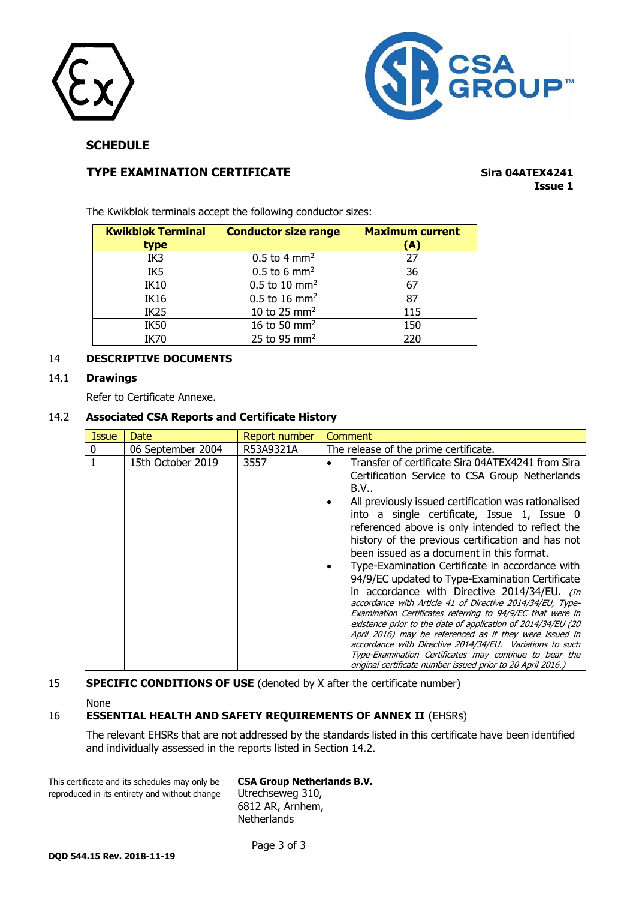



**SCHEDULE**

#### **TYPE EXAMINATION CERTIFICATE Sing 04ATEX4241**

# **Issue 1**

The Kwikblok terminals accept the following conductor sizes:

| <b>Kwikblok Terminal</b><br>type | <b>Conductor size range</b> | <b>Maximum current</b><br>(A) |
|----------------------------------|-----------------------------|-------------------------------|
| IK3                              | $0.5$ to 4 mm <sup>2</sup>  | 27                            |
| IK <sub>5</sub>                  | $0.5$ to 6 mm <sup>2</sup>  | 36                            |
| <b>IK10</b>                      | $0.5$ to 10 mm <sup>2</sup> | 67                            |
| <b>IK16</b>                      | $0.5$ to 16 mm <sup>2</sup> | 87                            |
| IK <sub>25</sub>                 | 10 to 25 mm <sup>2</sup>    | 115                           |
| <b>IK50</b>                      | 16 to 50 mm <sup>2</sup>    | 150                           |
| <b>IK70</b>                      | 25 to 95 $mm2$              | 220                           |

#### 14 **DESCRIPTIVE DOCUMENTS**

#### 14.1 **Drawings**

Refer to Certificate Annexe.

#### 14.2 **Associated CSA Reports and Certificate History**

| <b>Issue</b> | Date              | Report number | Comment                                                                                                                                                                                                                                                                                                                                                                                                                                                                                                                                                                                                                                                                                                                                                                                                                                                                                                                                                                  |
|--------------|-------------------|---------------|--------------------------------------------------------------------------------------------------------------------------------------------------------------------------------------------------------------------------------------------------------------------------------------------------------------------------------------------------------------------------------------------------------------------------------------------------------------------------------------------------------------------------------------------------------------------------------------------------------------------------------------------------------------------------------------------------------------------------------------------------------------------------------------------------------------------------------------------------------------------------------------------------------------------------------------------------------------------------|
| 0            | 06 September 2004 | R53A9321A     | The release of the prime certificate.                                                                                                                                                                                                                                                                                                                                                                                                                                                                                                                                                                                                                                                                                                                                                                                                                                                                                                                                    |
|              | 15th October 2019 | 3557          | Transfer of certificate Sira 04ATEX4241 from Sira<br>Certification Service to CSA Group Netherlands<br>B.V<br>All previously issued certification was rationalised<br>into a single certificate, Issue 1, Issue 0<br>referenced above is only intended to reflect the<br>history of the previous certification and has not<br>been issued as a document in this format.<br>Type-Examination Certificate in accordance with<br>94/9/EC updated to Type-Examination Certificate<br>in accordance with Directive 2014/34/EU. (In<br>accordance with Article 41 of Directive 2014/34/EU, Type-<br>Examination Certificates referring to 94/9/EC that were in<br>existence prior to the date of application of 2014/34/EU (20<br>April 2016) may be referenced as if they were issued in<br>accordance with Directive 2014/34/EU. Variations to such<br>Type-Examination Certificates may continue to bear the<br>original certificate number issued prior to 20 April 2016.) |

#### **SPECIFIC CONDITIONS OF USE** (denoted by X after the certificate number)

None

#### 16 **ESSENTIAL HEALTH AND SAFETY REQUIREMENTS OF ANNEX II** (EHSRs)

The relevant EHSRs that are not addressed by the standards listed in this certificate have been identified and individually assessed in the reports listed in Section 14.2.

This certificate and its schedules may only be **CSA Group Netherlands B.V.** reproduced in its entirety and without change Utrechseweg 310,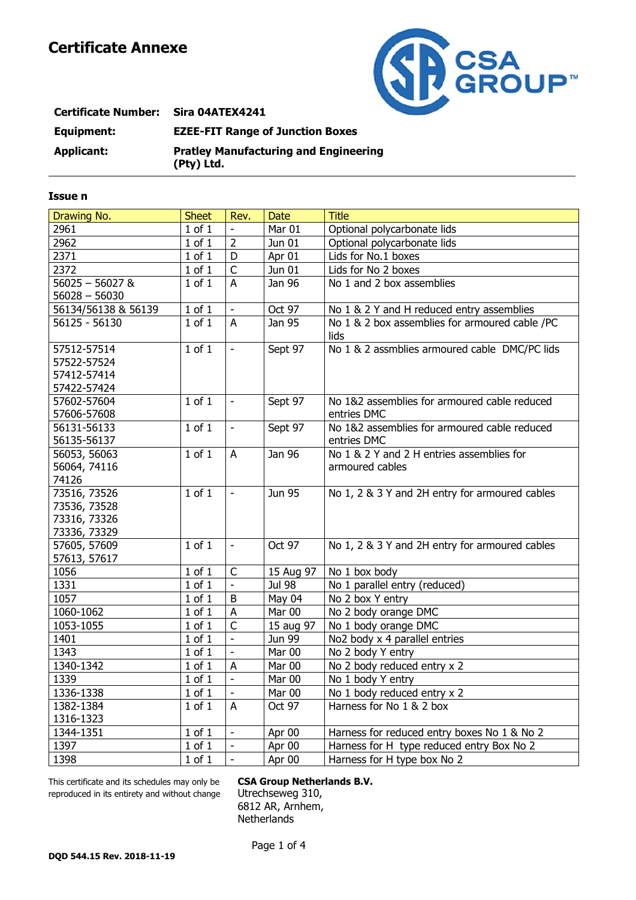

| <b>Certificate Number:</b> | <b>Sira 04ATEX4241</b>                                     |
|----------------------------|------------------------------------------------------------|
| Equipment:                 | <b>EZEE-FIT Range of Junction Boxes</b>                    |
| Applicant:                 | <b>Pratley Manufacturing and Engineering</b><br>(Pty) Ltd. |

#### **Issue n**

| Drawing No.         | <b>Sheet</b> | Rev.                     | <b>Date</b>   | <b>Title</b>                                   |
|---------------------|--------------|--------------------------|---------------|------------------------------------------------|
| 2961                | $1$ of $1$   |                          | Mar 01        | Optional polycarbonate lids                    |
| 2962                | $1$ of $1$   | $\overline{2}$           | Jun 01        | Optional polycarbonate lids                    |
| 2371                | $1$ of $1$   | D                        | Apr 01        | Lids for No.1 boxes                            |
| 2372                | $1$ of $1$   | $\overline{C}$           | Jun 01        | Lids for No 2 boxes                            |
| $56025 - 56027$ &   | $1$ of $1$   | A                        | Jan 96        | No 1 and 2 box assemblies                      |
| $56028 - 56030$     |              |                          |               |                                                |
| 56134/56138 & 56139 | $1$ of $1$   | $\frac{1}{2}$            | Oct 97        | No 1 & 2 Y and H reduced entry assemblies      |
| 56125 - 56130       | $1$ of $1$   | $\overline{A}$           | Jan 95        | No 1 & 2 box assemblies for armoured cable /PC |
|                     |              |                          |               | lids                                           |
| 57512-57514         | $1$ of $1$   | $\overline{\phantom{a}}$ | Sept 97       | No 1 & 2 assmblies armoured cable DMC/PC lids  |
| 57522-57524         |              |                          |               |                                                |
| 57412-57414         |              |                          |               |                                                |
| 57422-57424         |              |                          |               |                                                |
| 57602-57604         | $1$ of $1$   | $\overline{\phantom{a}}$ | Sept 97       | No 1&2 assemblies for armoured cable reduced   |
| 57606-57608         |              |                          |               | entries DMC                                    |
| 56131-56133         | $1$ of $1$   | $\blacksquare$           | Sept 97       | No 1&2 assemblies for armoured cable reduced   |
| 56135-56137         |              |                          |               | entries DMC                                    |
| 56053, 56063        | $1$ of $1$   | A                        | Jan 96        | No 1 & 2 Y and 2 H entries assemblies for      |
| 56064, 74116        |              |                          |               | armoured cables                                |
| 74126               |              |                          |               |                                                |
| 73516, 73526        | $1$ of $1$   | $\blacksquare$           | <b>Jun 95</b> | No 1, 2 & 3 Y and 2H entry for armoured cables |
| 73536, 73528        |              |                          |               |                                                |
| 73316, 73326        |              |                          |               |                                                |
| 73336, 73329        |              |                          |               |                                                |
| 57605, 57609        | $1$ of $1$   | $\blacksquare$           | Oct 97        | No 1, 2 & 3 Y and 2H entry for armoured cables |
| 57613, 57617        |              |                          |               |                                                |
| 1056                | $1$ of $1$   | $\mathsf{C}$             | 15 Aug 97     | No 1 box body                                  |
| 1331                | $1$ of $1$   | $\Box$                   | <b>Jul 98</b> | No 1 parallel entry (reduced)                  |
| 1057                | $1$ of $1$   | $\mathsf B$              | May 04        | No 2 box Y entry                               |
| 1060-1062           | $1$ of $1$   | A                        | Mar 00        | No 2 body orange DMC                           |
| 1053-1055           | $1$ of $1$   | $\overline{C}$           | 15 aug 97     | No 1 body orange DMC                           |
| 1401                | $1$ of $1$   | $\Box$                   | Jun 99        | No2 body x 4 parallel entries                  |
| 1343                | $1$ of $1$   | Ξ                        | Mar 00        | No 2 body Y entry                              |
| 1340-1342           | $1$ of $1$   | ${\sf A}$                | Mar 00        | No 2 body reduced entry x 2                    |
| 1339                | $1$ of $1$   | $\Box$                   | Mar 00        | No 1 body Y entry                              |
| 1336-1338           | $1$ of $1$   | $\blacksquare$           | Mar 00        | No 1 body reduced entry x 2                    |
| 1382-1384           | $1$ of $1$   | $\overline{A}$           | Oct 97        | Harness for No 1 & 2 box                       |
| 1316-1323           |              |                          |               |                                                |
| 1344-1351           | $1$ of $1$   | $\blacksquare$           | Apr 00        | Harness for reduced entry boxes No 1 & No 2    |
| 1397                | $1$ of $1$   | $\Box$                   | Apr 00        | Harness for H type reduced entry Box No 2      |
| 1398                | $1$ of $1$   | $\frac{1}{2}$            | Apr 00        | Harness for H type box No 2                    |

This certificate and its schedules may only be **CSA Group Netherlands B.V.** reproduced in its entirety and without change Utrechseweg 310,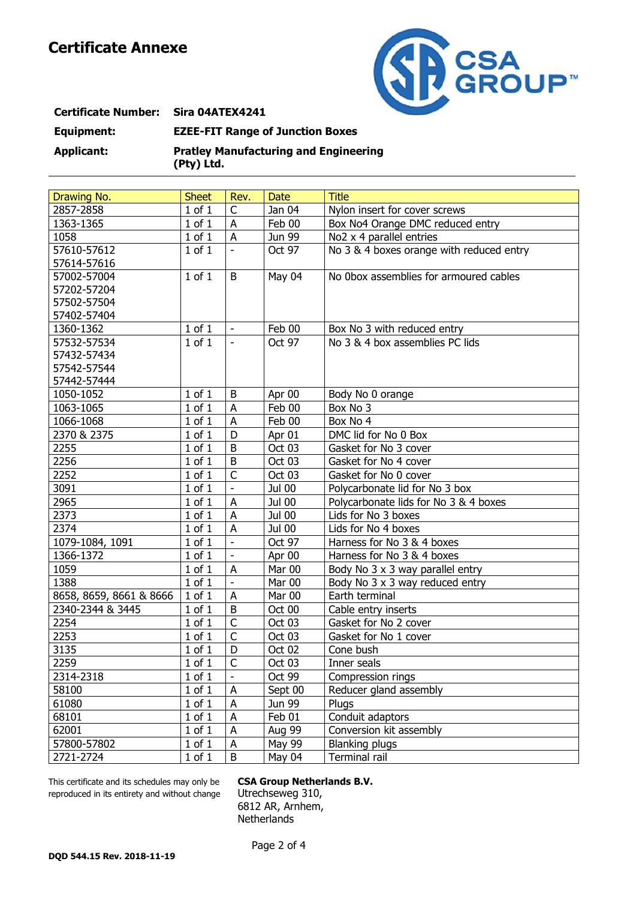

## **Certificate Number: Sira 04ATEX4241 Equipment: EZEE-FIT Range of Junction Boxes Applicant: Pratley Manufacturing and Engineering (Pty) Ltd.**

| Drawing No.             | <b>Sheet</b> | Rev.                     | <b>Date</b> | <b>Title</b>                             |
|-------------------------|--------------|--------------------------|-------------|------------------------------------------|
| 2857-2858               | $1$ of $1$   | C                        | Jan 04      | Nylon insert for cover screws            |
| 1363-1365               | $1$ of $1$   | A                        | Feb 00      | Box No4 Orange DMC reduced entry         |
| 1058                    | $1$ of $1$   | A                        | Jun 99      | $\overline{No2}$ x 4 parallel entries    |
| 57610-57612             | $1$ of $1$   | $\blacksquare$           | Oct 97      | No 3 & 4 boxes orange with reduced entry |
| 57614-57616             |              |                          |             |                                          |
| 57002-57004             | $1$ of $1$   | B                        | May 04      | No Obox assemblies for armoured cables   |
| 57202-57204             |              |                          |             |                                          |
| 57502-57504             |              |                          |             |                                          |
| 57402-57404             |              |                          |             |                                          |
| 1360-1362               | $1$ of $1$   | $\overline{\phantom{a}}$ | Feb 00      | Box No 3 with reduced entry              |
| 57532-57534             | $1$ of $1$   | $\overline{\phantom{a}}$ | Oct 97      | No 3 & 4 box assemblies PC lids          |
| 57432-57434             |              |                          |             |                                          |
| 57542-57544             |              |                          |             |                                          |
| 57442-57444             |              |                          |             |                                          |
| 1050-1052               | $1$ of $1$   | B                        | Apr 00      | Body No 0 orange                         |
| 1063-1065               | $1$ of $1$   | A                        | Feb 00      | Box No 3                                 |
| 1066-1068               | $1$ of $1$   | A                        | Feb 00      | Box No 4                                 |
| 2370 & 2375             | $1$ of $1$   | D                        | Apr 01      | DMC lid for No 0 Box                     |
| 2255                    | $1$ of $1$   | B                        | Oct 03      | Gasket for No 3 cover                    |
| 2256                    | $1$ of $1$   | B                        | Oct 03      | Gasket for No 4 cover                    |
| 2252                    | $1$ of $1$   | $\mathsf C$              | Oct 03      | Gasket for No 0 cover                    |
| 3091                    | $1$ of $1$   | $\overline{a}$           | Jul 00      | Polycarbonate lid for No 3 box           |
| 2965                    | $1$ of $1$   | A                        | Jul 00      | Polycarbonate lids for No 3 & 4 boxes    |
| 2373                    | $1$ of $1$   | A                        | Jul 00      | Lids for No 3 boxes                      |
| 2374                    | $1$ of $1$   | $\sf A$                  | Jul 00      | Lids for No 4 boxes                      |
| 1079-1084, 1091         | $1$ of $1$   | $\overline{\phantom{a}}$ | Oct 97      | Harness for No 3 & 4 boxes               |
| 1366-1372               | $1$ of $1$   | $\blacksquare$           | Apr 00      | Harness for No 3 & 4 boxes               |
| 1059                    | $1$ of $1$   | Α                        | Mar 00      | Body No 3 x 3 way parallel entry         |
| 1388                    | $1$ of $1$   | $\blacksquare$           | Mar 00      | Body No 3 x 3 way reduced entry          |
| 8658, 8659, 8661 & 8666 | $1$ of $1$   | A                        | Mar 00      | Earth terminal                           |
| 2340-2344 & 3445        | $1$ of $1$   | B                        | Oct 00      | Cable entry inserts                      |
| 2254                    | $1$ of $1$   | $\mathsf C$              | Oct 03      | Gasket for No 2 cover                    |
| 2253                    | $1$ of $1$   | $\mathsf{C}$             | Oct 03      | Gasket for No 1 cover                    |
| 3135                    | $1$ of $1$   | D                        | Oct 02      | Cone bush                                |
| 2259                    | $1$ of $1$   | $\overline{C}$           | Oct 03      | Inner seals                              |
| 2314-2318               | $1$ of $1$   | $\overline{\phantom{0}}$ | Oct 99      | Compression rings                        |
| 58100                   | $1$ of $1$   | A                        | Sept 00     | Reducer gland assembly                   |
| 61080                   | $1$ of $1$   | A                        | Jun 99      | Plugs                                    |
| 68101                   | $1$ of $1$   | A                        | Feb 01      | Conduit adaptors                         |
| 62001                   | $1$ of $1$   | A                        | Aug 99      | Conversion kit assembly                  |
| 57800-57802             | $1$ of $1$   | A                        | May 99      | <b>Blanking plugs</b>                    |
| 2721-2724               | $1$ of $1$   | B                        | May 04      | Terminal rail                            |

This certificate and its schedules may only be **CSA Group Netherlands B.V.** reproduced in its entirety and without change Utrechseweg 310,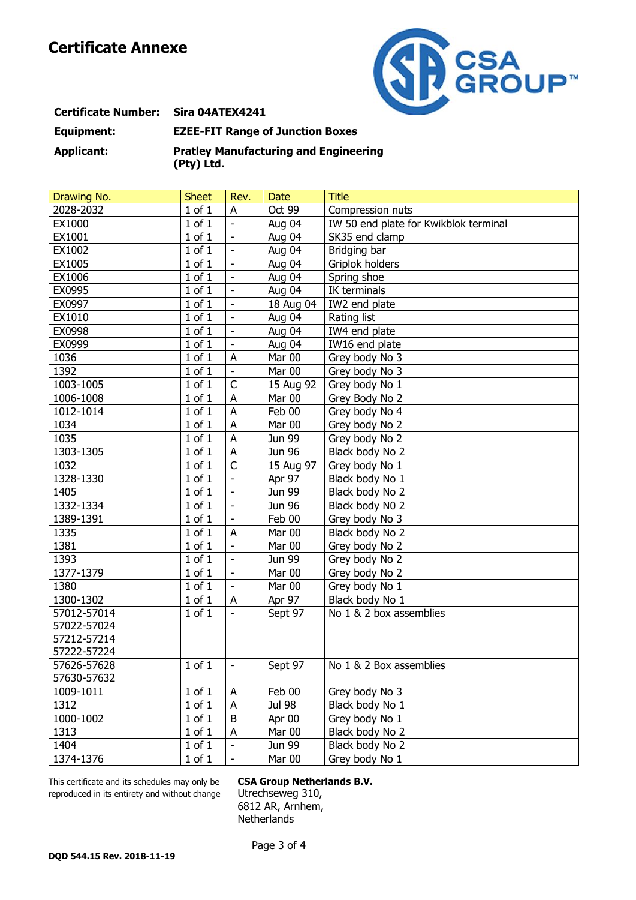

## **Certificate Number: Sira 04ATEX4241 Equipment: EZEE-FIT Range of Junction Boxes Applicant: Pratley Manufacturing and Engineering (Pty) Ltd.**

| Drawing No. | <b>Sheet</b> | Rev.                      | <b>Date</b> | <b>Title</b>                          |
|-------------|--------------|---------------------------|-------------|---------------------------------------|
| 2028-2032   | $1$ of $1$   | A                         | Oct 99      | Compression nuts                      |
| EX1000      | $1$ of $1$   | $\blacksquare$            | Aug 04      | IW 50 end plate for Kwikblok terminal |
| EX1001      | $1$ of $1$   | $\Box$                    | Aug 04      | SK35 end clamp                        |
| EX1002      | $1$ of $1$   | $\Box$                    | Aug 04      | Bridging bar                          |
| EX1005      | $1$ of $1$   | $\overline{\phantom{a}}$  | Aug 04      | Griplok holders                       |
| EX1006      | $1$ of $1$   | $\overline{\phantom{a}}$  | Aug 04      | Spring shoe                           |
| EX0995      | $1$ of $1$   | $\blacksquare$            | Aug 04      | IK terminals                          |
| EX0997      | $1$ of $1$   | $\overline{\phantom{a}}$  | 18 Aug 04   | IW2 end plate                         |
| EX1010      | $1$ of $1$   | $\blacksquare$            | Aug 04      | Rating list                           |
| EX0998      | $1$ of $1$   | $\overline{\phantom{a}}$  | Aug 04      | IW4 end plate                         |
| EX0999      | $1$ of $1$   | $\blacksquare$            | Aug 04      | IW16 end plate                        |
| 1036        | $1$ of $1$   | A                         | Mar 00      | Grey body No 3                        |
| 1392        | $1$ of $1$   | $\blacksquare$            | Mar 00      | Grey body No 3                        |
| 1003-1005   | $1$ of $1$   | $\mathsf{C}$              | 15 Aug 92   | Grey body No 1                        |
| 1006-1008   | $1$ of $1$   | $\boldsymbol{\mathsf{A}}$ | Mar 00      | Grey Body No 2                        |
| 1012-1014   | $1$ of $1$   | $\boldsymbol{\mathsf{A}}$ | Feb 00      | Grey body No 4                        |
| 1034        | $1$ of $1$   | $\overline{A}$            | Mar 00      | Grey body No 2                        |
| 1035        | $1$ of $1$   | $\overline{A}$            | Jun 99      | Grey body No 2                        |
| 1303-1305   | $1$ of $1$   | $\boldsymbol{\mathsf{A}}$ | Jun 96      | Black body No 2                       |
| 1032        | $1$ of $1$   | $\mathsf{C}$              | 15 Aug 97   | Grey body No 1                        |
| 1328-1330   | $1$ of $1$   | $\blacksquare$            | Apr 97      | Black body No 1                       |
| 1405        | $1$ of $1$   | $\blacksquare$            | Jun 99      | Black body No 2                       |
| 1332-1334   | $1$ of $1$   | $\blacksquare$            | Jun 96      | Black body N0 2                       |
| 1389-1391   | $1$ of $1$   | $\Box$                    | Feb 00      | Grey body No 3                        |
| 1335        | $1$ of $1$   | ${\sf A}$                 | Mar 00      | Black body No 2                       |
| 1381        | $1$ of $1$   | $\overline{\phantom{a}}$  | Mar 00      | Grey body No 2                        |
| 1393        | $1$ of $1$   | $\blacksquare$            | Jun 99      | Grey body No 2                        |
| 1377-1379   | $1$ of $1$   | $\overline{\phantom{a}}$  | Mar 00      | Grey body No 2                        |
| 1380        | $1$ of $1$   | $\blacksquare$            | Mar 00      | Grey body No 1                        |
| 1300-1302   | $1$ of $1$   | A                         | Apr 97      | Black body No 1                       |
| 57012-57014 | $1$ of $1$   | $\blacksquare$            | Sept 97     | No 1 & 2 box assemblies               |
| 57022-57024 |              |                           |             |                                       |
| 57212-57214 |              |                           |             |                                       |
| 57222-57224 |              |                           |             |                                       |
| 57626-57628 | $1$ of $1$   | $\blacksquare$            | Sept 97     | No 1 & 2 Box assemblies               |
| 57630-57632 |              |                           |             |                                       |
| 1009-1011   | $1$ of $1$   | A                         | Feb 00      | Grey body No 3                        |
| 1312        | $1$ of $1$   | A                         | Jul 98      | Black body No 1                       |
| 1000-1002   | $1$ of $1$   | $\sf B$                   | Apr 00      | Grey body No 1                        |
| 1313        | $1$ of $1$   | ${\sf A}$                 | Mar 00      | Black body No 2                       |
| 1404        | $1$ of $1$   |                           | Jun 99      | Black body No 2                       |
| 1374-1376   | $1$ of $1$   |                           | Mar 00      | Grey body No 1                        |

This certificate and its schedules may only be **CSA Group Netherlands B.V.** reproduced in its entirety and without change Utrechseweg 310,